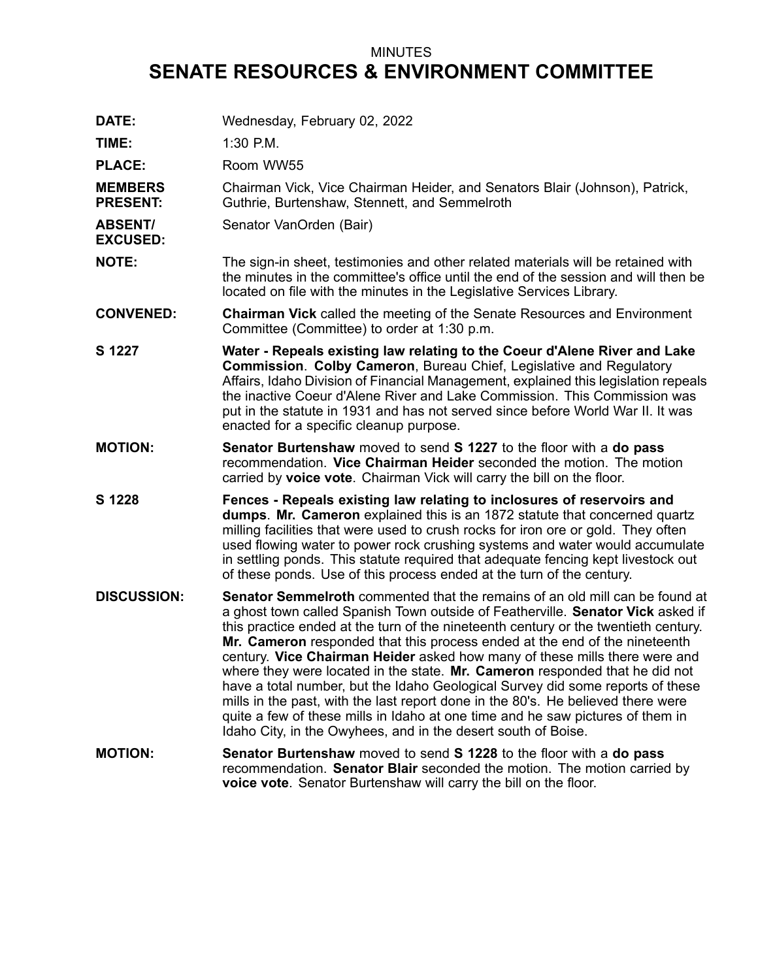## MINUTES **SENATE RESOURCES & ENVIRONMENT COMMITTEE**

| DATE:                             | Wednesday, February 02, 2022                                                                                                                                                                                                                                                                                                                                                                                                                                                                                                                                                                                                                                                                                                                                                                                               |
|-----------------------------------|----------------------------------------------------------------------------------------------------------------------------------------------------------------------------------------------------------------------------------------------------------------------------------------------------------------------------------------------------------------------------------------------------------------------------------------------------------------------------------------------------------------------------------------------------------------------------------------------------------------------------------------------------------------------------------------------------------------------------------------------------------------------------------------------------------------------------|
| TIME:                             | $1:30$ P.M.                                                                                                                                                                                                                                                                                                                                                                                                                                                                                                                                                                                                                                                                                                                                                                                                                |
| <b>PLACE:</b>                     | Room WW55                                                                                                                                                                                                                                                                                                                                                                                                                                                                                                                                                                                                                                                                                                                                                                                                                  |
| <b>MEMBERS</b><br><b>PRESENT:</b> | Chairman Vick, Vice Chairman Heider, and Senators Blair (Johnson), Patrick,<br>Guthrie, Burtenshaw, Stennett, and Semmelroth                                                                                                                                                                                                                                                                                                                                                                                                                                                                                                                                                                                                                                                                                               |
| <b>ABSENT/</b><br><b>EXCUSED:</b> | Senator VanOrden (Bair)                                                                                                                                                                                                                                                                                                                                                                                                                                                                                                                                                                                                                                                                                                                                                                                                    |
| <b>NOTE:</b>                      | The sign-in sheet, testimonies and other related materials will be retained with<br>the minutes in the committee's office until the end of the session and will then be<br>located on file with the minutes in the Legislative Services Library.                                                                                                                                                                                                                                                                                                                                                                                                                                                                                                                                                                           |
| <b>CONVENED:</b>                  | <b>Chairman Vick</b> called the meeting of the Senate Resources and Environment<br>Committee (Committee) to order at 1:30 p.m.                                                                                                                                                                                                                                                                                                                                                                                                                                                                                                                                                                                                                                                                                             |
| S 1227                            | Water - Repeals existing law relating to the Coeur d'Alene River and Lake<br><b>Commission. Colby Cameron, Bureau Chief, Legislative and Regulatory</b><br>Affairs, Idaho Division of Financial Management, explained this legislation repeals<br>the inactive Coeur d'Alene River and Lake Commission. This Commission was<br>put in the statute in 1931 and has not served since before World War II. It was<br>enacted for a specific cleanup purpose.                                                                                                                                                                                                                                                                                                                                                                  |
| <b>MOTION:</b>                    | <b>Senator Burtenshaw</b> moved to send <b>S</b> 1227 to the floor with a do pass<br>recommendation. Vice Chairman Heider seconded the motion. The motion<br>carried by voice vote. Chairman Vick will carry the bill on the floor.                                                                                                                                                                                                                                                                                                                                                                                                                                                                                                                                                                                        |
| S 1228                            | Fences - Repeals existing law relating to inclosures of reservoirs and<br>dumps. Mr. Cameron explained this is an 1872 statute that concerned quartz<br>milling facilities that were used to crush rocks for iron ore or gold. They often<br>used flowing water to power rock crushing systems and water would accumulate<br>in settling ponds. This statute required that adequate fencing kept livestock out<br>of these ponds. Use of this process ended at the turn of the century.                                                                                                                                                                                                                                                                                                                                    |
| <b>DISCUSSION:</b>                | Senator Semmelroth commented that the remains of an old mill can be found at<br>a ghost town called Spanish Town outside of Featherville. Senator Vick asked if<br>this practice ended at the turn of the nineteenth century or the twentieth century.<br>Mr. Cameron responded that this process ended at the end of the nineteenth<br>century. Vice Chairman Heider asked how many of these mills there were and<br>where they were located in the state. Mr. Cameron responded that he did not<br>have a total number, but the Idaho Geological Survey did some reports of these<br>mills in the past, with the last report done in the 80's. He believed there were<br>quite a few of these mills in Idaho at one time and he saw pictures of them in<br>Idaho City, in the Owyhees, and in the desert south of Boise. |
| <b>MOTION:</b>                    | Senator Burtenshaw moved to send S 1228 to the floor with a do pass<br>recommendation. Senator Blair seconded the motion. The motion carried by<br>voice vote. Senator Burtenshaw will carry the bill on the floor.                                                                                                                                                                                                                                                                                                                                                                                                                                                                                                                                                                                                        |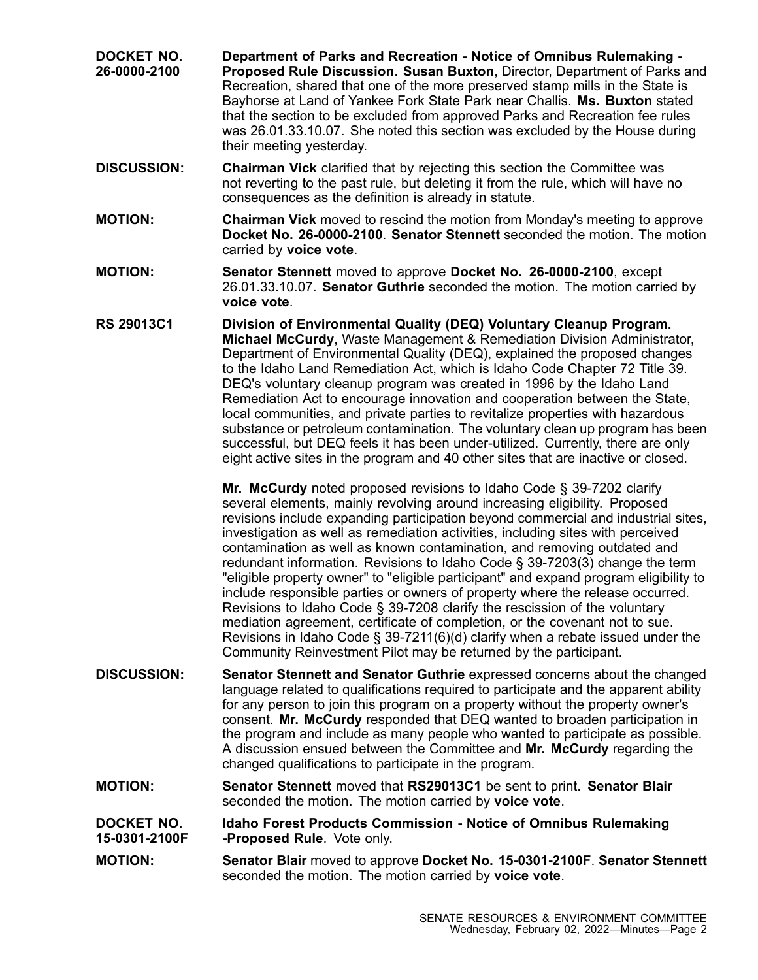- **DOCKET NO. 26-0000-2100 Department of Parks and Recreation - Notice of Omnibus Rulemaking - Proposed Rule Discussion**. **Susan Buxton**, Director, Department of Parks and Recreation, shared that one of the more preserved stamp mills in the State is Bayhorse at Land of Yankee Fork State Park near Challis. **Ms. Buxton** stated that the section to be excluded from approved Parks and Recreation fee rules was 26.01.33.10.07. She noted this section was excluded by the House during their meeting yesterday.
- **DISCUSSION: Chairman Vick** clarified that by rejecting this section the Committee was not reverting to the past rule, but deleting it from the rule, which will have no consequences as the definition is already in statute.
- **MOTION: Chairman Vick** moved to rescind the motion from Monday's meeting to approve **Docket No. 26-0000-2100**. **Senator Stennett** seconded the motion. The motion carried by **voice vote**.
- **MOTION: Senator Stennett** moved to approve **Docket No. 26-0000-2100**, except 26.01.33.10.07. **Senator Guthrie** seconded the motion. The motion carried by **voice vote**.
- **RS 29013C1 Division of Environmental Quality (DEQ) Voluntary Cleanup Program. Michael McCurdy**, Waste Management & Remediation Division Administrator, Department of Environmental Quality (DEQ), explained the proposed changes to the Idaho Land Remediation Act, which is Idaho Code Chapter 72 Title 39. DEQ's voluntary cleanup program was created in 1996 by the Idaho Land Remediation Act to encourage innovation and cooperation between the State, local communities, and private parties to revitalize properties with hazardous substance or petroleum contamination. The voluntary clean up program has been successful, but DEQ feels it has been under-utilized. Currently, there are only eight active sites in the program and 40 other sites that are inactive or closed.

**Mr. McCurdy** noted proposed revisions to Idaho Code § 39-7202 clarify several elements, mainly revolving around increasing eligibility. Proposed revisions include expanding participation beyond commercial and industrial sites, investigation as well as remediation activities, including sites with perceived contamination as well as known contamination, and removing outdated and redundant information. Revisions to Idaho Code § 39-7203(3) change the term "eligible property owner" to "eligible participant" and expand program eligibility to include responsible parties or owners of property where the release occurred. Revisions to Idaho Code § 39-7208 clarify the rescission of the voluntary mediation agreement, certificate of completion, or the covenant not to sue. Revisions in Idaho Code § 39-7211(6)(d) clarify when <sup>a</sup> rebate issued under the Community Reinvestment Pilot may be returned by the participant.

- **DISCUSSION: Senator Stennett and Senator Guthrie** expressed concerns about the changed language related to qualifications required to participate and the apparent ability for any person to join this program on <sup>a</sup> property without the property owner's consent. **Mr. McCurdy** responded that DEQ wanted to broaden participation in the program and include as many people who wanted to participate as possible. A discussion ensued between the Committee and **Mr. McCurdy** regarding the changed qualifications to participate in the program.
- **MOTION: Senator Stennett** moved that **RS29013C1** be sent to print. **Senator Blair** seconded the motion. The motion carried by **voice vote**.

**DOCKET NO. 15-0301-2100F Idaho Forest Products Commission - Notice of Omnibus Rulemaking -Proposed Rule**. Vote only.

**MOTION: Senator Blair** moved to approve **Docket No. 15-0301-2100F**. **Senator Stennett** seconded the motion. The motion carried by **voice vote**.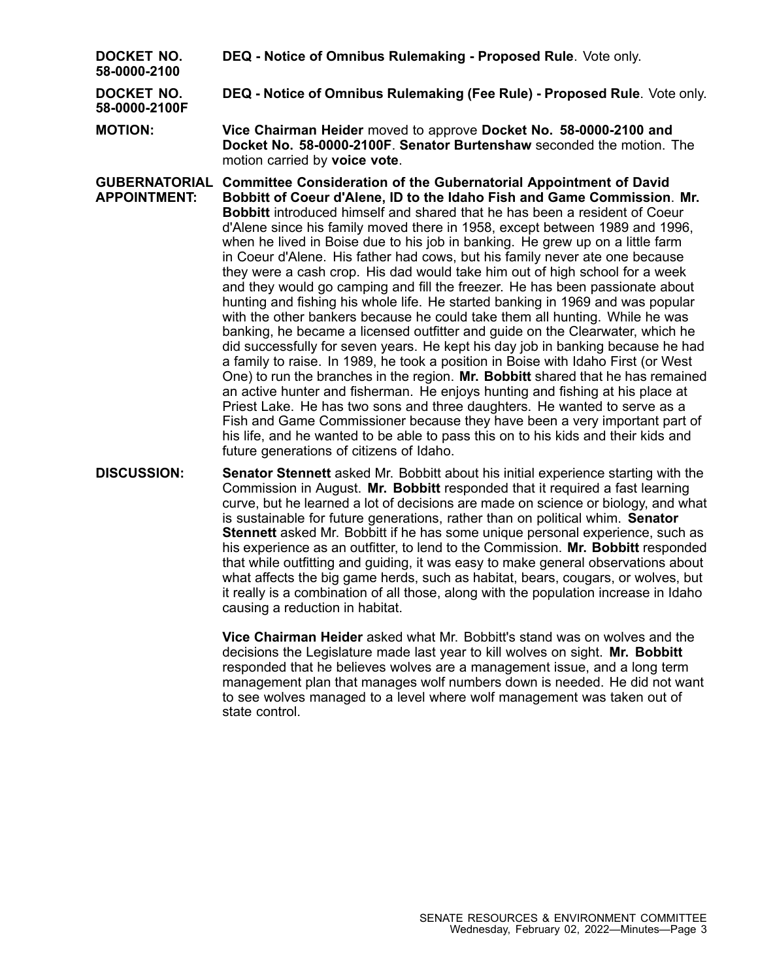**DEQ - Notice of Omnibus Rulemaking - Proposed Rule**. Vote only.

**DOCKET NO. 58-0000-2100**

**DEQ - Notice of Omnibus Rulemaking (Fee Rule) - Proposed Rule**. Vote only.

**DOCKET NO. 58-0000-2100F**

**MOTION: Vice Chairman Heider** moved to approve **Docket No. 58-0000-2100 and Docket No. 58-0000-2100F**. **Senator Burtenshaw** seconded the motion. The motion carried by **voice vote**.

- **GUBERNATORIAL Committee Consideration of the Gubernatorial Appointment of David APPOINTMENT: Bobbitt of Coeur d'Alene, ID to the Idaho Fish and Game Commission**. **Mr. Bobbitt** introduced himself and shared that he has been a resident of Coeur d'Alene since his family moved there in 1958, except between 1989 and 1996, when he lived in Boise due to his job in banking. He grew up on <sup>a</sup> little farm in Coeur d'Alene. His father had cows, but his family never ate one because they were <sup>a</sup> cash crop. His dad would take him out of high school for <sup>a</sup> week and they would go camping and fill the freezer. He has been passionate about hunting and fishing his whole life. He started banking in 1969 and was popular with the other bankers because he could take them all hunting. While he was banking, he became <sup>a</sup> licensed outfitter and guide on the Clearwater, which he did successfully for seven years. He kept his day job in banking because he had <sup>a</sup> family to raise. In 1989, he took <sup>a</sup> position in Boise with Idaho First (or West One) to run the branches in the region. **Mr. Bobbitt** shared that he has remained an active hunter and fisherman. He enjoys hunting and fishing at his place at Priest Lake. He has two sons and three daughters. He wanted to serve as <sup>a</sup> Fish and Game Commissioner because they have been <sup>a</sup> very important part of his life, and he wanted to be able to pass this on to his kids and their kids and future generations of citizens of Idaho.
- **DISCUSSION: Senator Stennett** asked Mr. Bobbitt about his initial experience starting with the Commission in August. **Mr. Bobbitt** responded that it required <sup>a</sup> fast learning curve, but he learned <sup>a</sup> lot of decisions are made on science or biology, and what is sustainable for future generations, rather than on political whim. **Senator Stennett** asked Mr. Bobbitt if he has some unique personal experience, such as his experience as an outfitter, to lend to the Commission. **Mr. Bobbitt** responded that while outfitting and guiding, it was easy to make general observations about what affects the big game herds, such as habitat, bears, cougars, or wolves, but it really is <sup>a</sup> combination of all those, along with the population increase in Idaho causing <sup>a</sup> reduction in habitat.

**Vice Chairman Heider** asked what Mr. Bobbitt's stand was on wolves and the decisions the Legislature made last year to kill wolves on sight. **Mr. Bobbitt** responded that he believes wolves are <sup>a</sup> management issue, and <sup>a</sup> long term management plan that manages wolf numbers down is needed. He did not want to see wolves managed to <sup>a</sup> level where wolf management was taken out of state control.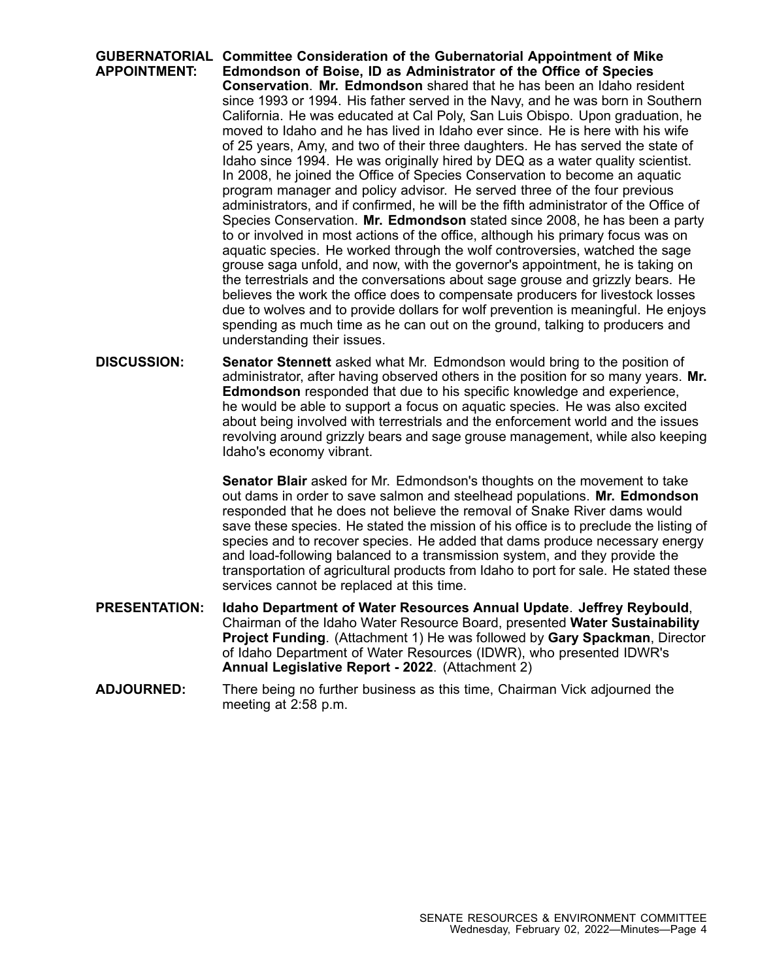**GUBERNATORIAL Committee Consideration of the Gubernatorial Appointment of Mike APPOINTMENT: Edmondson of Boise, ID as Administrator of the Office of Species Conservation**. **Mr. Edmondson** shared that he has been an Idaho resident since 1993 or 1994. His father served in the Navy, and he was born in Southern California. He was educated at Cal Poly, San Luis Obispo. Upon graduation, he moved to Idaho and he has lived in Idaho ever since. He is here with his wife of 25 years, Amy, and two of their three daughters. He has served the state of Idaho since 1994. He was originally hired by DEQ as <sup>a</sup> water quality scientist. In 2008, he joined the Office of Species Conservation to become an aquatic program manager and policy advisor. He served three of the four previous administrators, and if confirmed, he will be the fifth administrator of the Office of Species Conservation. **Mr. Edmondson** stated since 2008, he has been <sup>a</sup> party to or involved in most actions of the office, although his primary focus was on aquatic species. He worked through the wolf controversies, watched the sage grouse saga unfold, and now, with the governor's appointment, he is taking on the terrestrials and the conversations about sage grouse and grizzly bears. He believes the work the office does to compensate producers for livestock losses due to wolves and to provide dollars for wolf prevention is meaningful. He enjoys spending as much time as he can out on the ground, talking to producers and understanding their issues.

**DISCUSSION: Senator Stennett** asked what Mr. Edmondson would bring to the position of administrator, after having observed others in the position for so many years. **Mr. Edmondson** responded that due to his specific knowledge and experience, he would be able to support <sup>a</sup> focus on aquatic species. He was also excited about being involved with terrestrials and the enforcement world and the issues revolving around grizzly bears and sage grouse management, while also keeping Idaho's economy vibrant.

> **Senator Blair** asked for Mr. Edmondson's thoughts on the movement to take out dams in order to save salmon and steelhead populations. **Mr. Edmondson** responded that he does not believe the removal of Snake River dams would save these species. He stated the mission of his office is to preclude the listing of species and to recover species. He added that dams produce necessary energy and load-following balanced to <sup>a</sup> transmission system, and they provide the transportation of agricultural products from Idaho to port for sale. He stated these services cannot be replaced at this time.

- **PRESENTATION: Idaho Department of Water Resources Annual Update**. **Jeffrey Reybould**, Chairman of the Idaho Water Resource Board, presented **Water Sustainability Project Funding**. (Attachment 1) He was followed by **Gary Spackman**, Director of Idaho Department of Water Resources (IDWR), who presented IDWR's **Annual Legislative Report - 2022**. (Attachment 2)
- **ADJOURNED:** There being no further business as this time, Chairman Vick adjourned the meeting at 2:58 p.m.